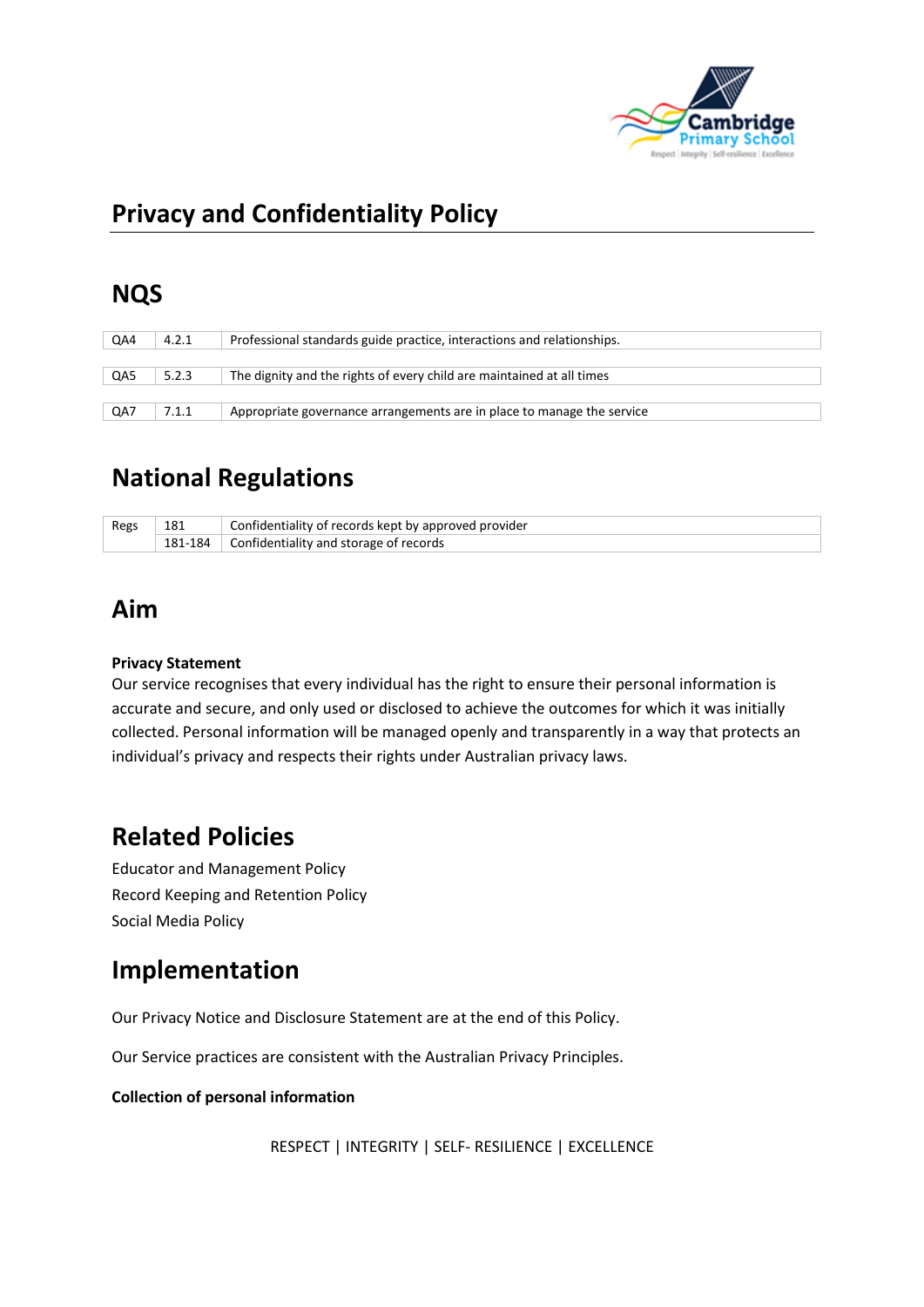

# **Privacy and Confidentiality Policy**

# **NQS**

| QA4 | 4.2.1 | Professional standards guide practice, interactions and relationships. |
|-----|-------|------------------------------------------------------------------------|
|     |       |                                                                        |
| QA5 | 5.2.3 | The dignity and the rights of every child are maintained at all times  |
|     |       |                                                                        |
| QA7 | 7.1.1 | Appropriate governance arrangements are in place to manage the service |

# **National Regulations**

| Regs | 181     | Confidentiality of records kept by approved provider |  |
|------|---------|------------------------------------------------------|--|
|      | 181-184 | Confidentiality and storage of records               |  |

### **Aim**

#### **Privacy Statement**

Our service recognises that every individual has the right to ensure their personal information is accurate and secure, and only used or disclosed to achieve the outcomes for which it was initially collected. Personal information will be managed openly and transparently in a way that protects an individual's privacy and respects their rights under Australian privacy laws.

### **Related Policies**

Educator and Management Policy Record Keeping and Retention Policy Social Media Policy

## **Implementation**

Our Privacy Notice and Disclosure Statement are at the end of this Policy.

Our Service practices are consistent with the Australian Privacy Principles.

#### **Collection of personal information**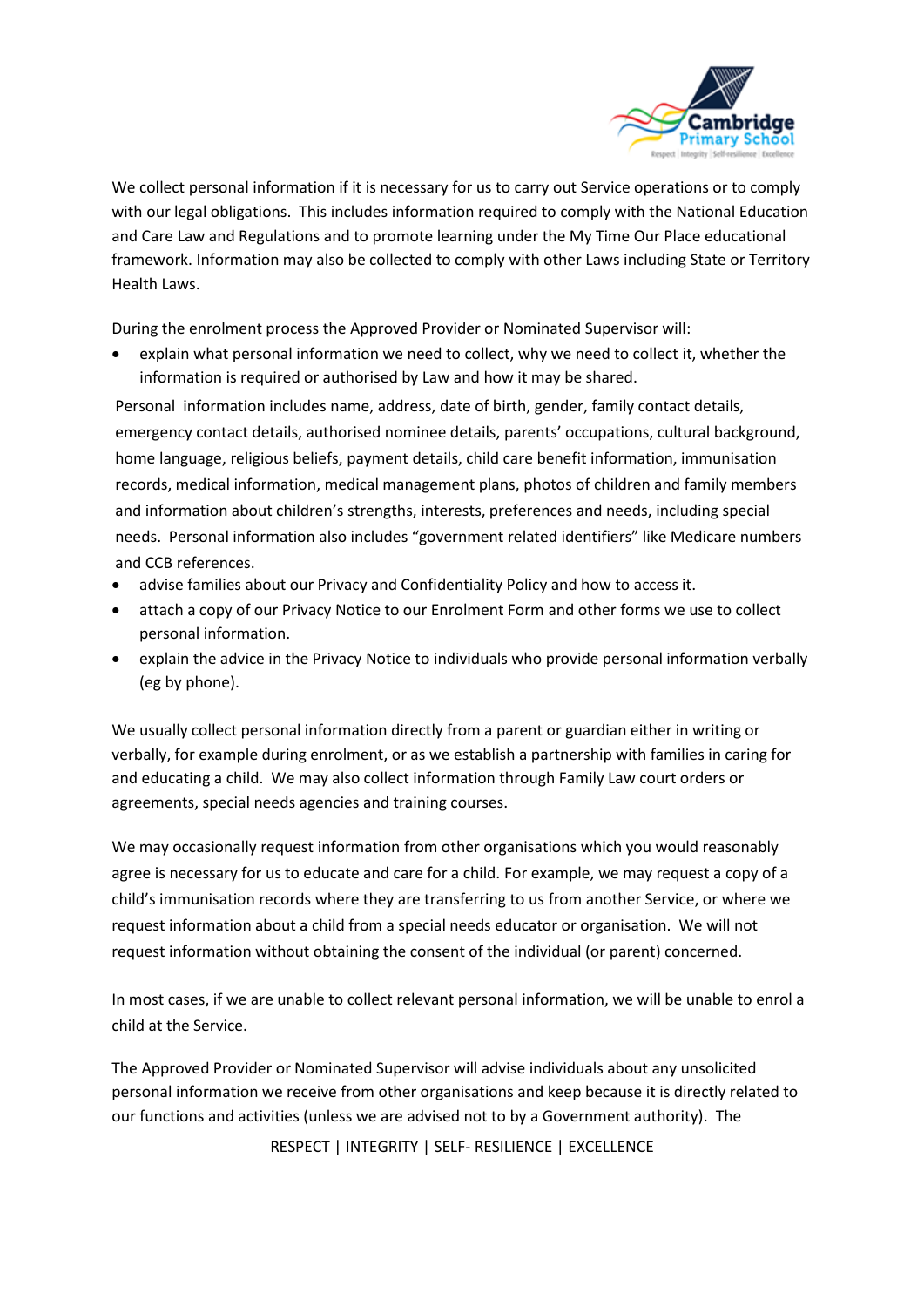

We collect personal information if it is necessary for us to carry out Service operations or to comply with our legal obligations. This includes information required to comply with the National Education and Care Law and Regulations and to promote learning under the My Time Our Place educational framework. Information may also be collected to comply with other Laws including State or Territory Health Laws.

During the enrolment process the Approved Provider or Nominated Supervisor will:

• explain what personal information we need to collect, why we need to collect it, whether the information is required or authorised by Law and how it may be shared.

Personal information includes name, address, date of birth, gender, family contact details, emergency contact details, authorised nominee details, parents' occupations, cultural background, home language, religious beliefs, payment details, child care benefit information, immunisation records, medical information, medical management plans, photos of children and family members and information about children's strengths, interests, preferences and needs, including special needs. Personal information also includes "government related identifiers" like Medicare numbers and CCB references.

- advise families about our Privacy and Confidentiality Policy and how to access it.
- attach a copy of our Privacy Notice to our Enrolment Form and other forms we use to collect personal information.
- explain the advice in the Privacy Notice to individuals who provide personal information verbally (eg by phone).

We usually collect personal information directly from a parent or guardian either in writing or verbally, for example during enrolment, or as we establish a partnership with families in caring for and educating a child. We may also collect information through Family Law court orders or agreements, special needs agencies and training courses.

We may occasionally request information from other organisations which you would reasonably agree is necessary for us to educate and care for a child. For example, we may request a copy of a child's immunisation records where they are transferring to us from another Service, or where we request information about a child from a special needs educator or organisation. We will not request information without obtaining the consent of the individual (or parent) concerned.

In most cases, if we are unable to collect relevant personal information, we will be unable to enrol a child at the Service.

The Approved Provider or Nominated Supervisor will advise individuals about any unsolicited personal information we receive from other organisations and keep because it is directly related to our functions and activities (unless we are advised not to by a Government authority). The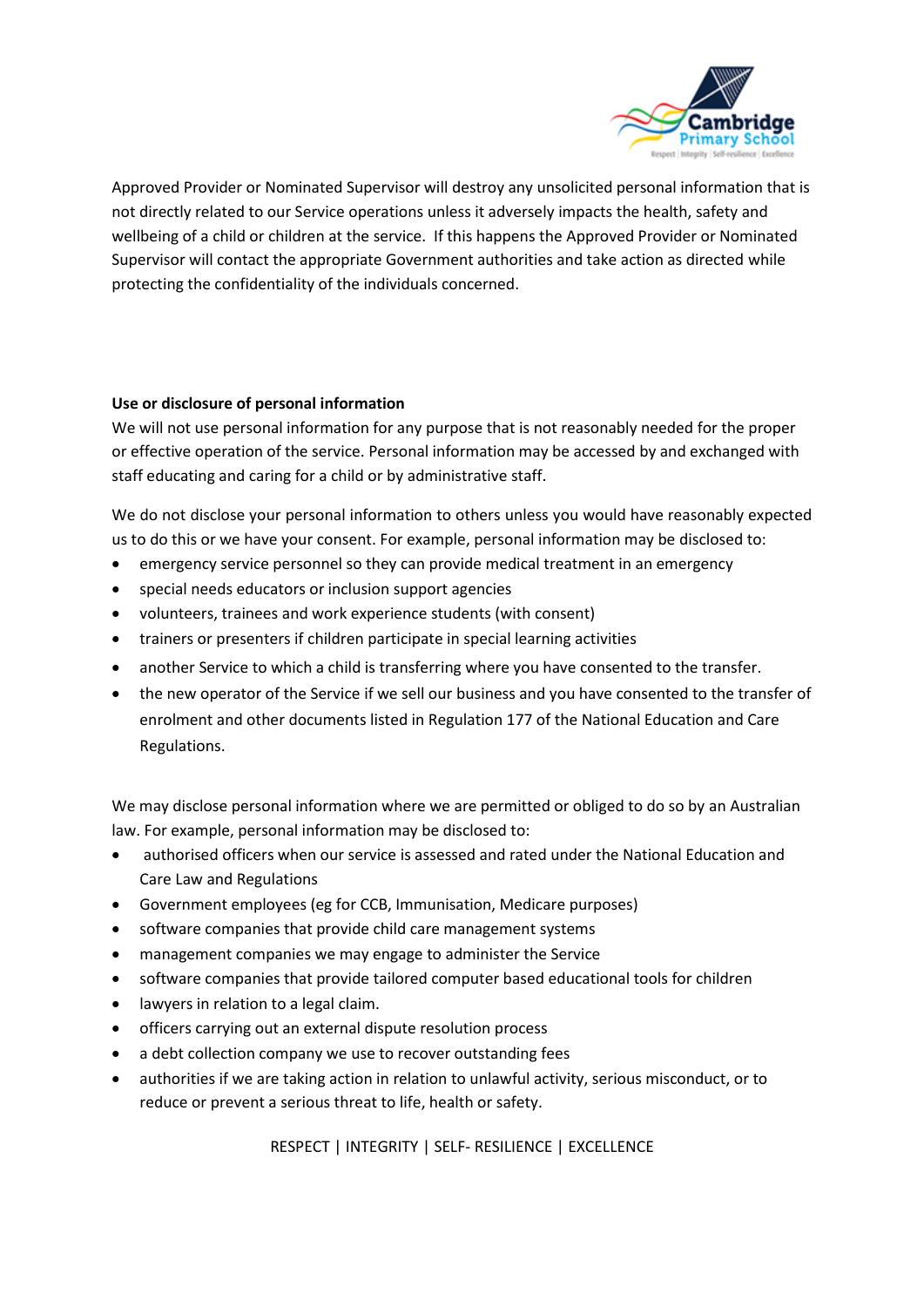

Approved Provider or Nominated Supervisor will destroy any unsolicited personal information that is not directly related to our Service operations unless it adversely impacts the health, safety and wellbeing of a child or children at the service. If this happens the Approved Provider or Nominated Supervisor will contact the appropriate Government authorities and take action as directed while protecting the confidentiality of the individuals concerned.

#### **Use or disclosure of personal information**

We will not use personal information for any purpose that is not reasonably needed for the proper or effective operation of the service. Personal information may be accessed by and exchanged with staff educating and caring for a child or by administrative staff.

We do not disclose your personal information to others unless you would have reasonably expected us to do this or we have your consent. For example, personal information may be disclosed to:

- emergency service personnel so they can provide medical treatment in an emergency
- special needs educators or inclusion support agencies
- volunteers, trainees and work experience students (with consent)
- trainers or presenters if children participate in special learning activities
- another Service to which a child is transferring where you have consented to the transfer.
- the new operator of the Service if we sell our business and you have consented to the transfer of enrolment and other documents listed in Regulation 177 of the National Education and Care Regulations.

We may disclose personal information where we are permitted or obliged to do so by an Australian law. For example, personal information may be disclosed to:

- authorised officers when our service is assessed and rated under the National Education and Care Law and Regulations
- Government employees (eg for CCB, Immunisation, Medicare purposes)
- software companies that provide child care management systems
- management companies we may engage to administer the Service
- software companies that provide tailored computer based educational tools for children
- lawyers in relation to a legal claim.
- officers carrying out an external dispute resolution process
- a debt collection company we use to recover outstanding fees
- authorities if we are taking action in relation to unlawful activity, serious misconduct, or to reduce or prevent a serious threat to life, health or safety.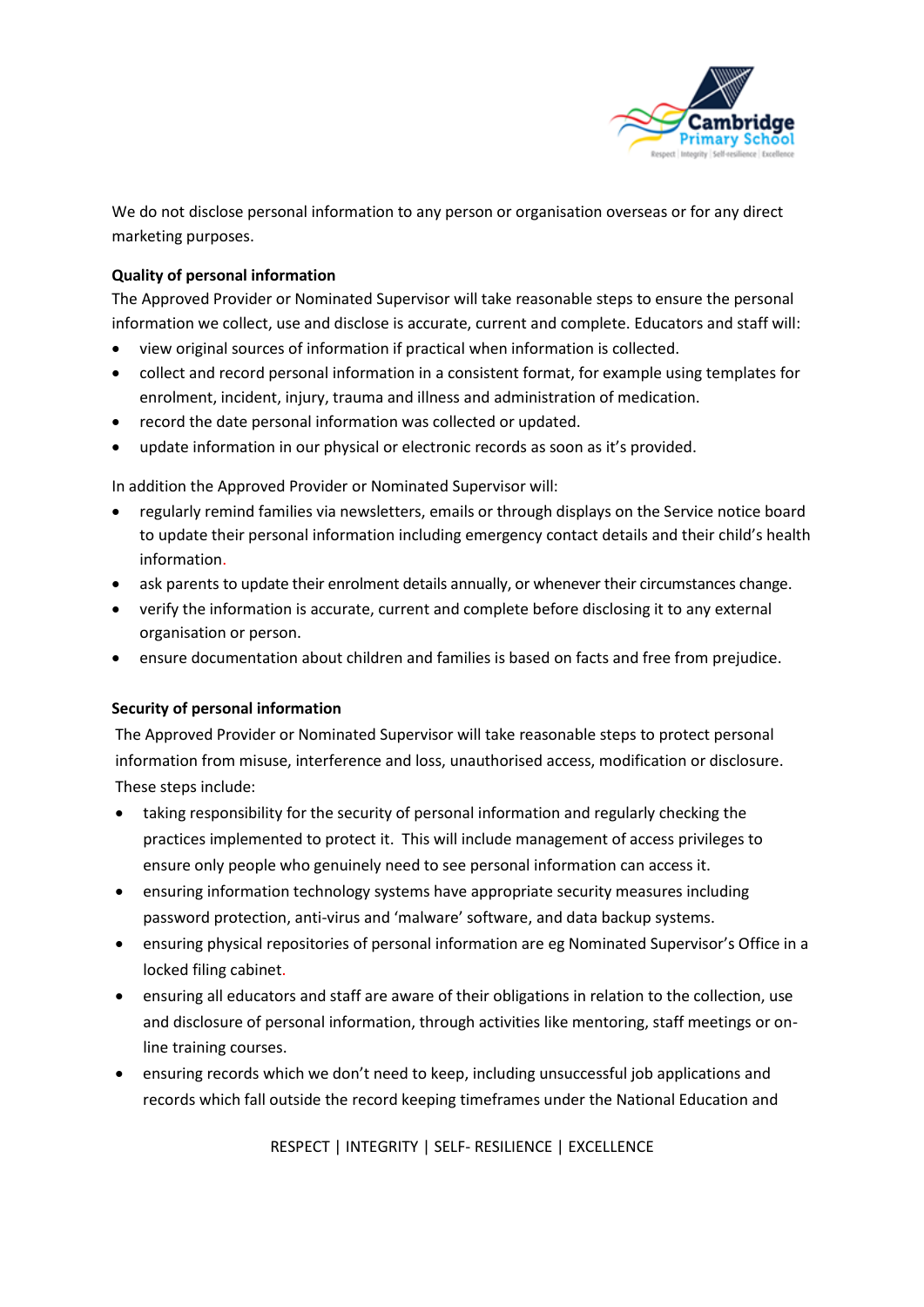

We do not disclose personal information to any person or organisation overseas or for any direct marketing purposes.

#### **Quality of personal information**

The Approved Provider or Nominated Supervisor will take reasonable steps to ensure the personal information we collect, use and disclose is accurate, current and complete. Educators and staff will:

- view original sources of information if practical when information is collected.
- collect and record personal information in a consistent format, for example using templates for enrolment, incident, injury, trauma and illness and administration of medication.
- record the date personal information was collected or updated.
- update information in our physical or electronic records as soon as it's provided.

In addition the Approved Provider or Nominated Supervisor will:

- regularly remind families via newsletters, emails or through displays on the Service notice board to update their personal information including emergency contact details and their child's health information.
- ask parents to update their enrolment details annually, or whenever their circumstances change.
- verify the information is accurate, current and complete before disclosing it to any external organisation or person.
- ensure documentation about children and families is based on facts and free from prejudice.

#### **Security of personal information**

The Approved Provider or Nominated Supervisor will take reasonable steps to protect personal information from misuse, interference and loss, unauthorised access, modification or disclosure. These steps include:

- taking responsibility for the security of personal information and regularly checking the practices implemented to protect it. This will include management of access privileges to ensure only people who genuinely need to see personal information can access it.
- ensuring information technology systems have appropriate security measures including password protection, anti-virus and 'malware' software, and data backup systems.
- ensuring physical repositories of personal information are eg Nominated Supervisor's Office in a locked filing cabinet.
- ensuring all educators and staff are aware of their obligations in relation to the collection, use and disclosure of personal information, through activities like mentoring, staff meetings or online training courses.
- ensuring records which we don't need to keep, including unsuccessful job applications and records which fall outside the record keeping timeframes under the National Education and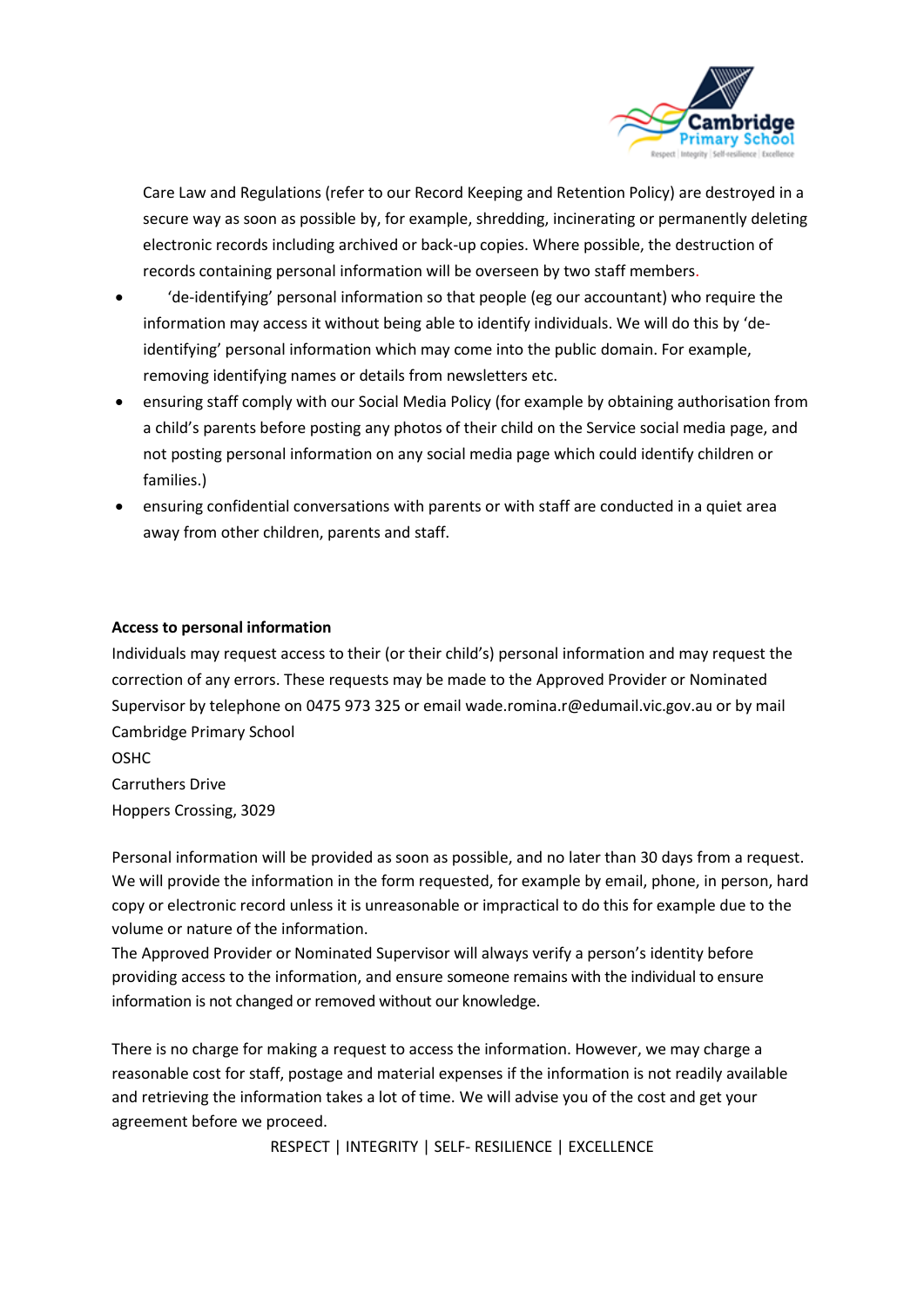

Care Law and Regulations (refer to our Record Keeping and Retention Policy) are destroyed in a secure way as soon as possible by, for example, shredding, incinerating or permanently deleting electronic records including archived or back-up copies. Where possible, the destruction of records containing personal information will be overseen by two staff members.

- 'de-identifying' personal information so that people (eg our accountant) who require the information may access it without being able to identify individuals. We will do this by 'deidentifying' personal information which may come into the public domain. For example, removing identifying names or details from newsletters etc.
- ensuring staff comply with our Social Media Policy (for example by obtaining authorisation from a child's parents before posting any photos of their child on the Service social media page, and not posting personal information on any social media page which could identify children or families.)
- ensuring confidential conversations with parents or with staff are conducted in a quiet area away from other children, parents and staff.

#### **Access to personal information**

Individuals may request access to their (or their child's) personal information and may request the correction of any errors. These requests may be made to the Approved Provider or Nominated Supervisor by telephone on 0475 973 325 or email wade.romina.r@edumail.vic.gov.au or by mail Cambridge Primary School

OSHC Carruthers Drive Hoppers Crossing, 3029

Personal information will be provided as soon as possible, and no later than 30 days from a request. We will provide the information in the form requested, for example by email, phone, in person, hard copy or electronic record unless it is unreasonable or impractical to do this for example due to the volume or nature of the information.

The Approved Provider or Nominated Supervisor will always verify a person's identity before providing access to the information, and ensure someone remains with the individual to ensure information is not changed or removed without our knowledge.

There is no charge for making a request to access the information. However, we may charge a reasonable cost for staff, postage and material expenses if the information is not readily available and retrieving the information takes a lot of time. We will advise you of the cost and get your agreement before we proceed.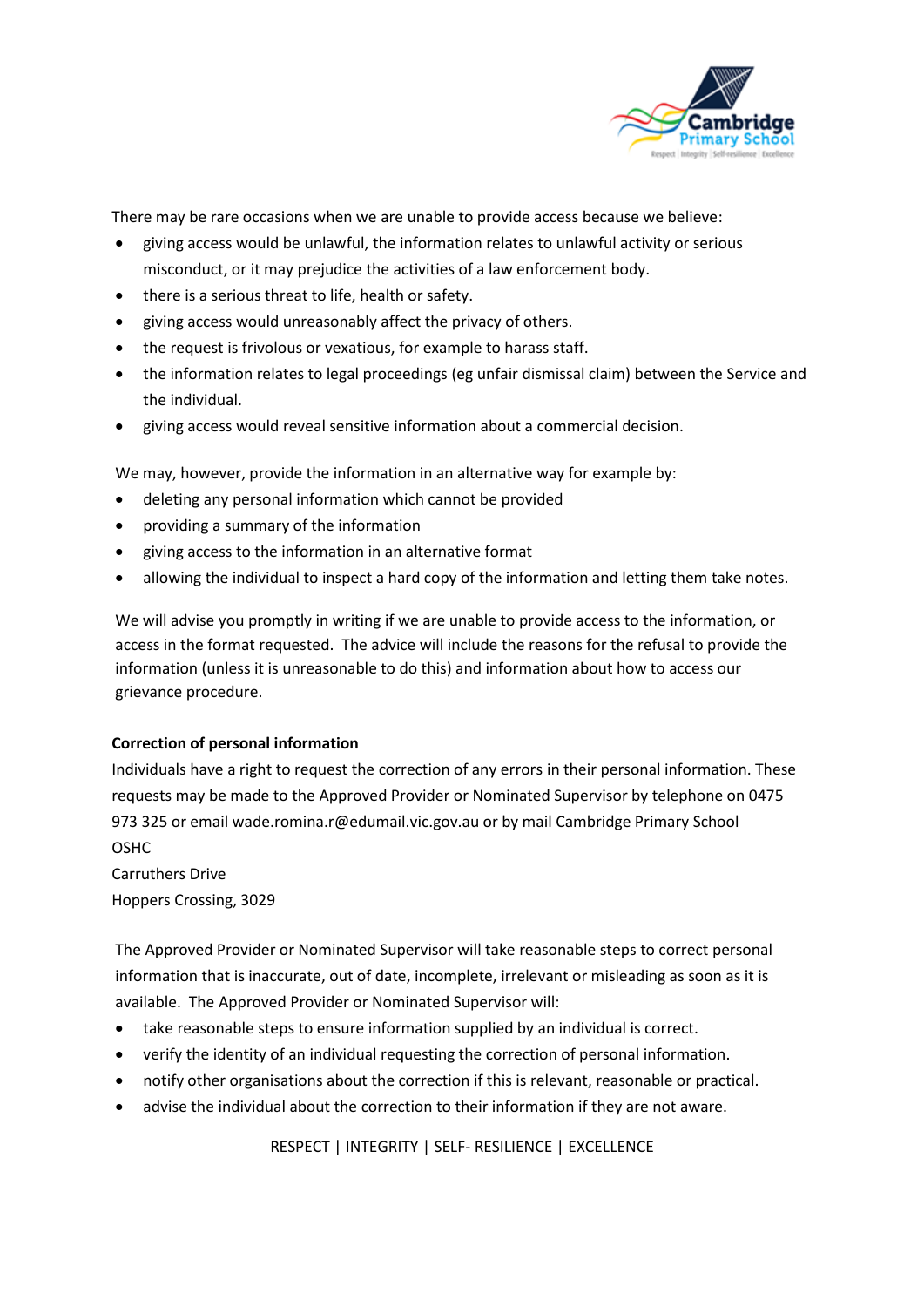

There may be rare occasions when we are unable to provide access because we believe:

- giving access would be unlawful, the information relates to unlawful activity or serious misconduct, or it may prejudice the activities of a law enforcement body.
- there is a serious threat to life, health or safety.
- giving access would unreasonably affect the privacy of others.
- the request is frivolous or vexatious, for example to harass staff.
- the information relates to legal proceedings (eg unfair dismissal claim) between the Service and the individual.
- giving access would reveal sensitive information about a commercial decision.

We may, however, provide the information in an alternative way for example by:

- deleting any personal information which cannot be provided
- providing a summary of the information
- giving access to the information in an alternative format
- allowing the individual to inspect a hard copy of the information and letting them take notes.

We will advise you promptly in writing if we are unable to provide access to the information, or access in the format requested. The advice will include the reasons for the refusal to provide the information (unless it is unreasonable to do this) and information about how to access our grievance procedure.

#### **Correction of personal information**

Individuals have a right to request the correction of any errors in their personal information. These requests may be made to the Approved Provider or Nominated Supervisor by telephone on 0475 973 325 or email wade.romina.r@edumail.vic.gov.au or by mail Cambridge Primary School OSHC

Carruthers Drive Hoppers Crossing, 3029

The Approved Provider or Nominated Supervisor will take reasonable steps to correct personal information that is inaccurate, out of date, incomplete, irrelevant or misleading as soon as it is available. The Approved Provider or Nominated Supervisor will:

- take reasonable steps to ensure information supplied by an individual is correct.
- verify the identity of an individual requesting the correction of personal information.
- notify other organisations about the correction if this is relevant, reasonable or practical.
- advise the individual about the correction to their information if they are not aware.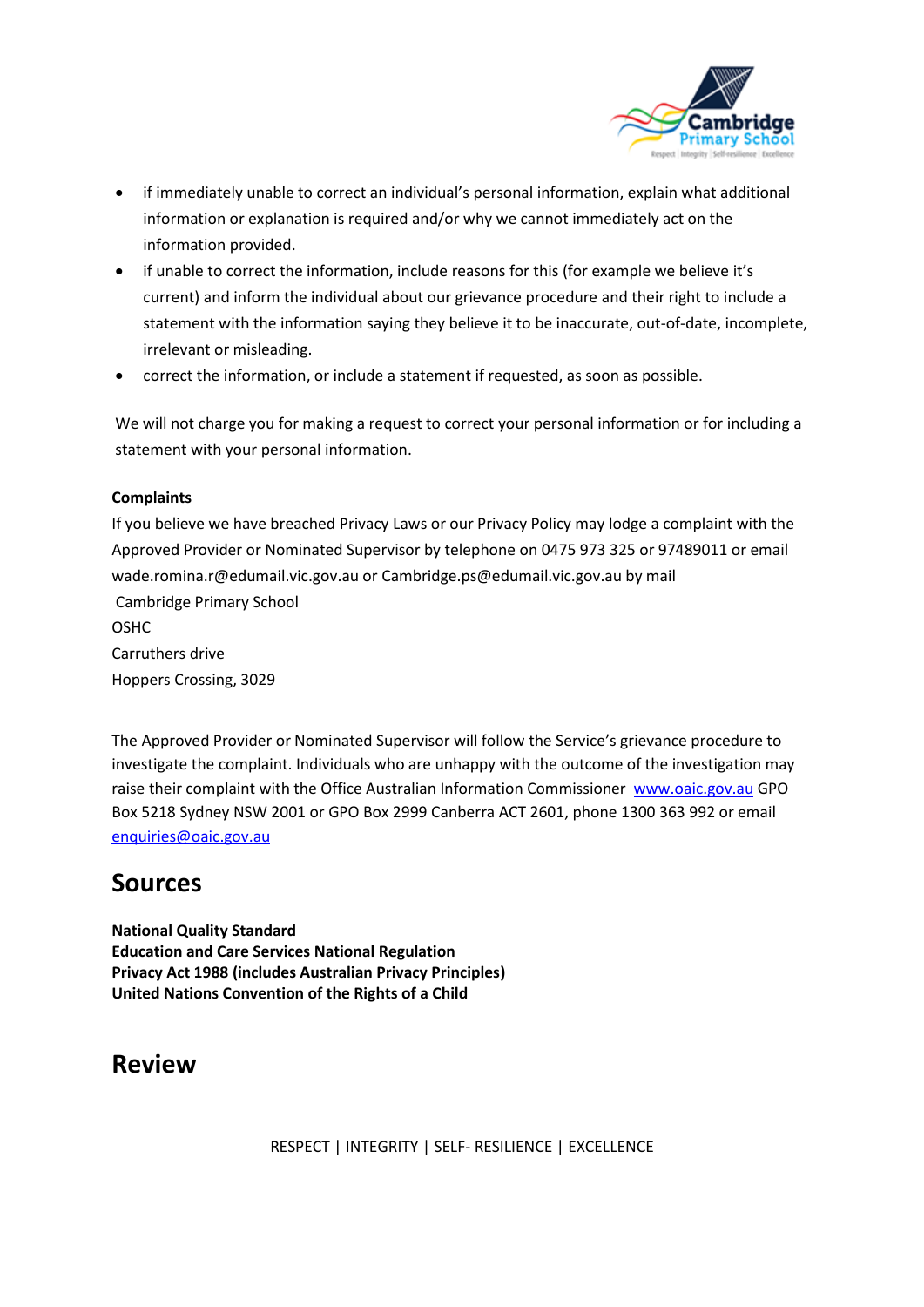

- if immediately unable to correct an individual's personal information, explain what additional information or explanation is required and/or why we cannot immediately act on the information provided.
- if unable to correct the information, include reasons for this (for example we believe it's current) and inform the individual about our grievance procedure and their right to include a statement with the information saying they believe it to be inaccurate, out-of-date, incomplete, irrelevant or misleading.
- correct the information, or include a statement if requested, as soon as possible.

We will not charge you for making a request to correct your personal information or for including a statement with your personal information.

#### **Complaints**

If you believe we have breached Privacy Laws or our Privacy Policy may lodge a complaint with the Approved Provider or Nominated Supervisor by telephone on 0475 973 325 or 97489011 or email wade.romina.r@edumail.vic.gov.au or Cambridge.ps@edumail.vic.gov.au by mail Cambridge Primary School OSHC Carruthers drive Hoppers Crossing, 3029

The Approved Provider or Nominated Supervisor will follow the Service's grievance procedure to investigate the complaint. Individuals who are unhappy with the outcome of the investigation may raise their complaint with the Office Australian Information Commissioner [www.oaic.gov.au](http://www.oaic.gov.au/) GPO Box 5218 Sydney NSW 2001 or GPO Box 2999 Canberra ACT 2601, phone 1300 363 992 or email [enquiries@oaic.gov.au](mailto:enquiries@oaic.gov.au)

### **Sources**

**National Quality Standard Education and Care Services National Regulation Privacy Act 1988 (includes Australian Privacy Principles) United Nations Convention of the Rights of a Child** 

### **Review**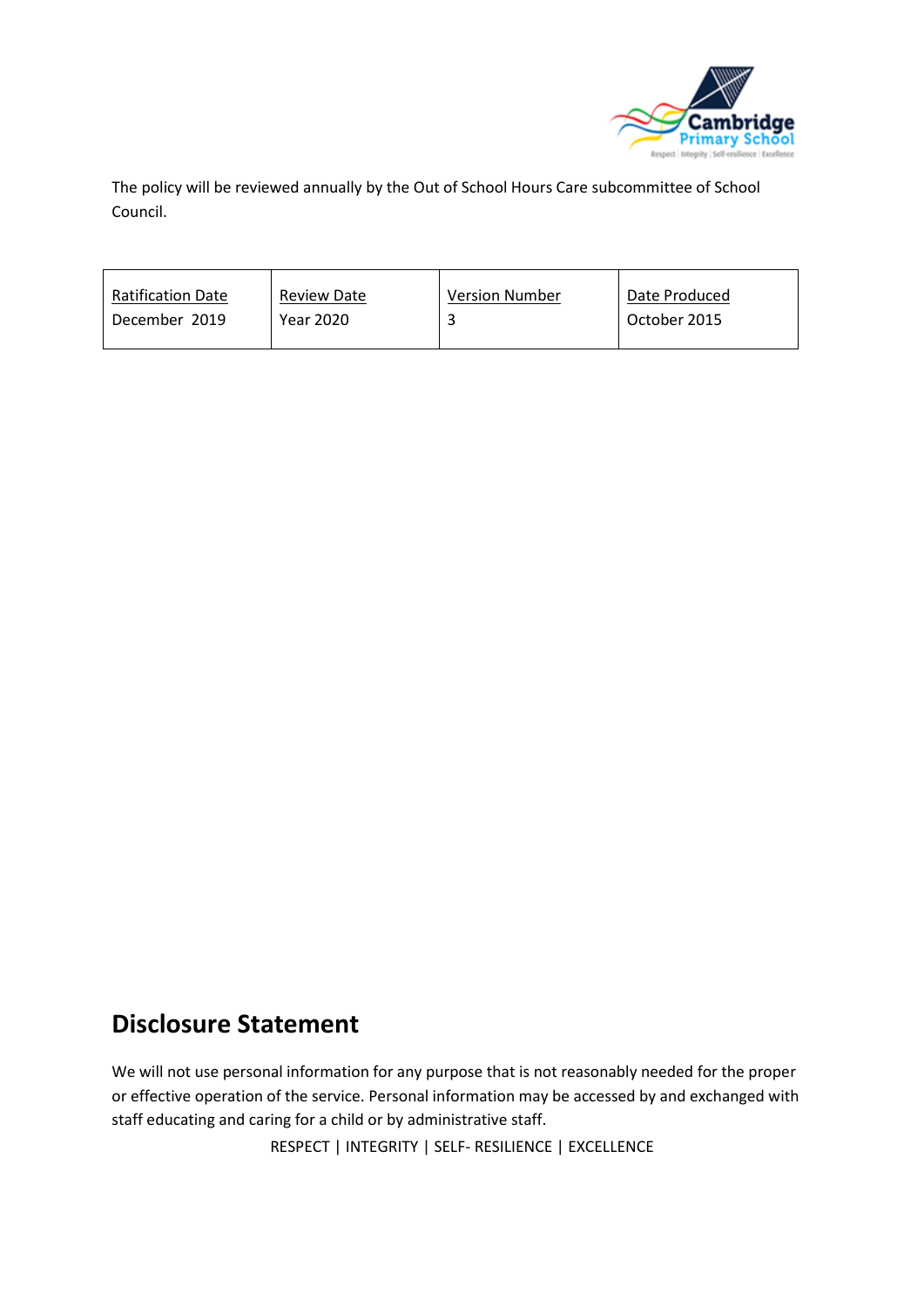

The policy will be reviewed annually by the Out of School Hours Care subcommittee of School Council.

| <b>Ratification Date</b> | <b>Review Date</b> | <b>Version Number</b> | Date Produced |
|--------------------------|--------------------|-----------------------|---------------|
| December 2019            | Year 2020          |                       | October 2015  |
|                          |                    |                       |               |

### **Disclosure Statement**

We will not use personal information for any purpose that is not reasonably needed for the proper or effective operation of the service. Personal information may be accessed by and exchanged with staff educating and caring for a child or by administrative staff.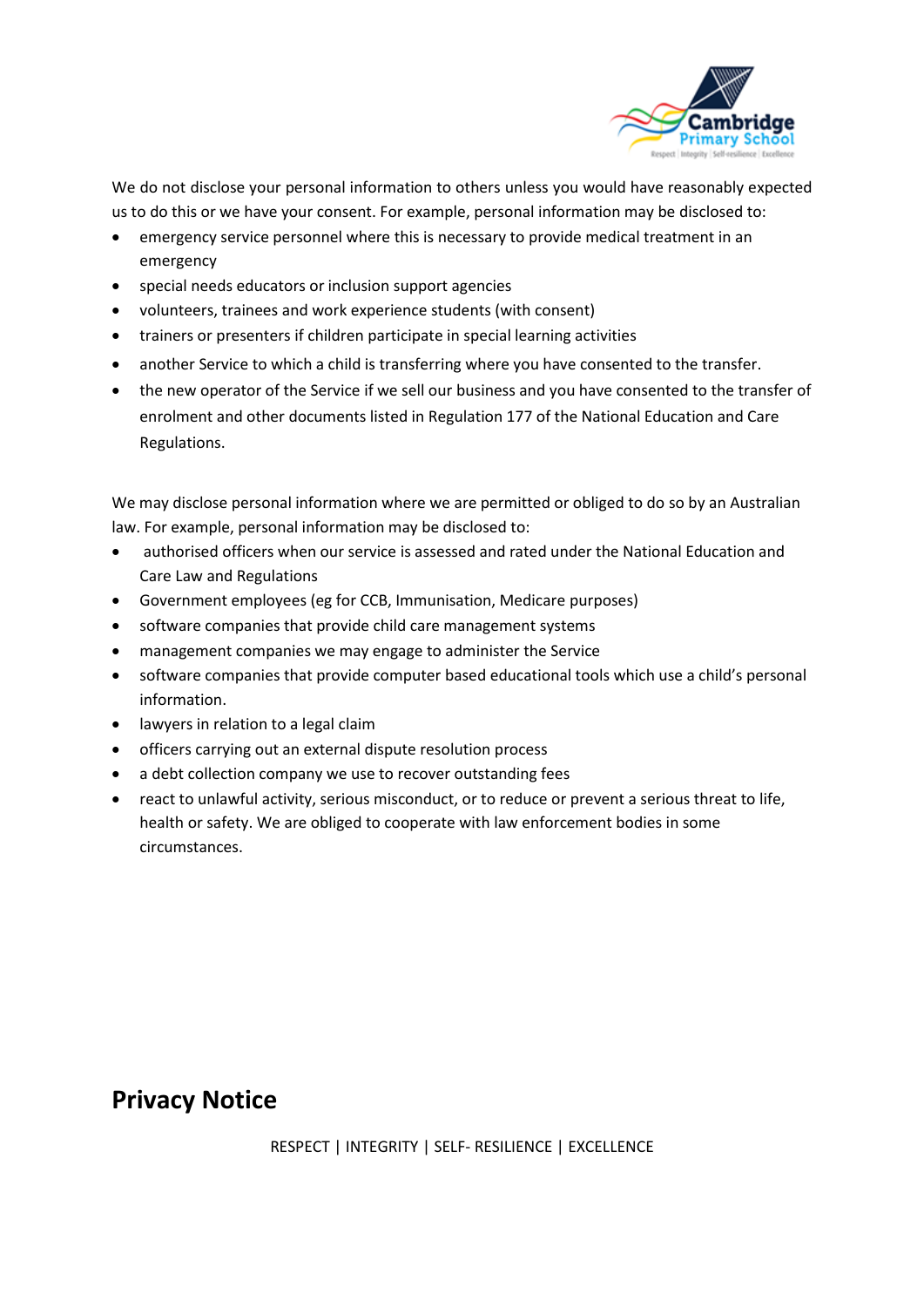

We do not disclose your personal information to others unless you would have reasonably expected us to do this or we have your consent. For example, personal information may be disclosed to:

- emergency service personnel where this is necessary to provide medical treatment in an emergency
- special needs educators or inclusion support agencies
- volunteers, trainees and work experience students (with consent)
- trainers or presenters if children participate in special learning activities
- another Service to which a child is transferring where you have consented to the transfer.
- the new operator of the Service if we sell our business and you have consented to the transfer of enrolment and other documents listed in Regulation 177 of the National Education and Care Regulations.

We may disclose personal information where we are permitted or obliged to do so by an Australian law. For example, personal information may be disclosed to:

- authorised officers when our service is assessed and rated under the National Education and Care Law and Regulations
- Government employees (eg for CCB, Immunisation, Medicare purposes)
- software companies that provide child care management systems
- management companies we may engage to administer the Service
- software companies that provide computer based educational tools which use a child's personal information.
- lawyers in relation to a legal claim
- officers carrying out an external dispute resolution process
- a debt collection company we use to recover outstanding fees
- react to unlawful activity, serious misconduct, or to reduce or prevent a serious threat to life, health or safety. We are obliged to cooperate with law enforcement bodies in some circumstances.

### **Privacy Notice**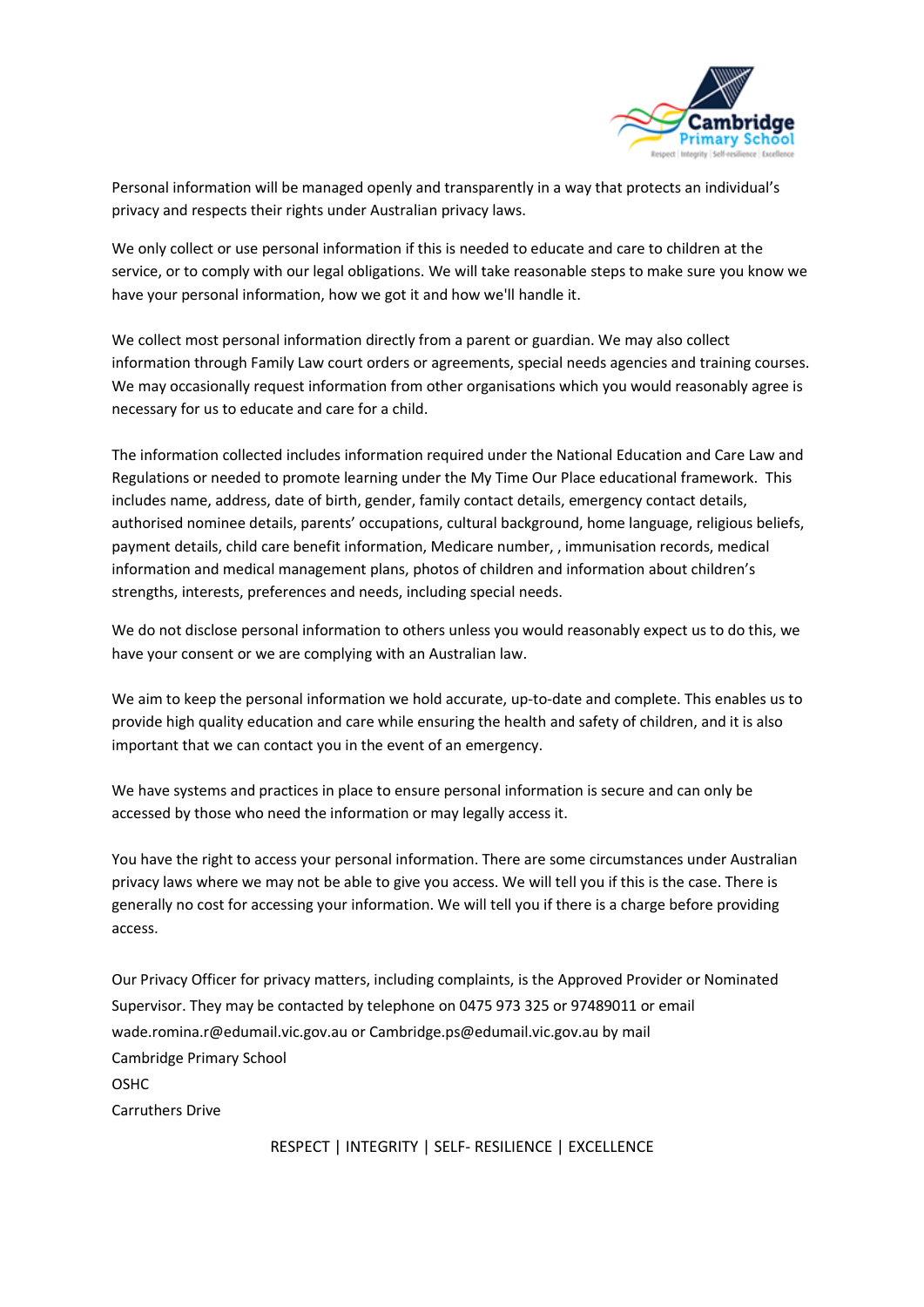

Personal information will be managed openly and transparently in a way that protects an individual's privacy and respects their rights under Australian privacy laws.

We only collect or use personal information if this is needed to educate and care to children at the service, or to comply with our legal obligations. We will take reasonable steps to make sure you know we have your personal information, how we got it and how we'll handle it.

We collect most personal information directly from a parent or guardian. We may also collect information through Family Law court orders or agreements, special needs agencies and training courses. We may occasionally request information from other organisations which you would reasonably agree is necessary for us to educate and care for a child.

The information collected includes information required under the National Education and Care Law and Regulations or needed to promote learning under the My Time Our Place educational framework. This includes name, address, date of birth, gender, family contact details, emergency contact details, authorised nominee details, parents' occupations, cultural background, home language, religious beliefs, payment details, child care benefit information, Medicare number, , immunisation records, medical information and medical management plans, photos of children and information about children's strengths, interests, preferences and needs, including special needs.

We do not disclose personal information to others unless you would reasonably expect us to do this, we have your consent or we are complying with an Australian law.

We aim to keep the personal information we hold accurate, up-to-date and complete. This enables us to provide high quality education and care while ensuring the health and safety of children, and it is also important that we can contact you in the event of an emergency.

We have systems and practices in place to ensure personal information is secure and can only be accessed by those who need the information or may legally access it.

You have the right to access your personal information. There are some circumstances under Australian privacy laws where we may not be able to give you access. We will tell you if this is the case. There is generally no cost for accessing your information. We will tell you if there is a charge before providing access.

Our Privacy Officer for privacy matters, including complaints, is the Approved Provider or Nominated Supervisor. They may be contacted by telephone on 0475 973 325 or 97489011 or email wade.romina.r@edumail.vic.gov.au or Cambridge.ps@edumail.vic.gov.au by mail Cambridge Primary School OSHC Carruthers Drive